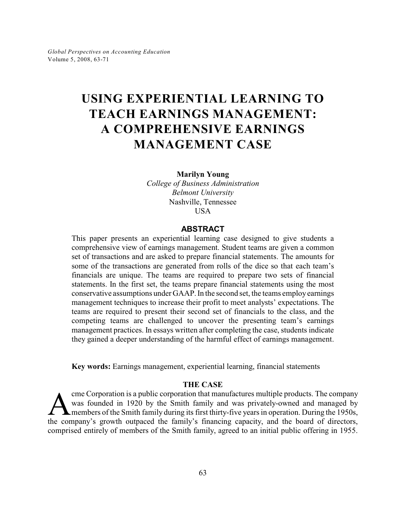# **USING EXPERIENTIAL LEARNING TO TEACH EARNINGS MANAGEMENT: A COMPREHENSIVE EARNINGS MANAGEMENT CASE**

**Marilyn Young**

*College of Business Administration Belmont University* Nashville, Tennessee USA

## **ABSTRACT**

This paper presents an experiential learning case designed to give students a comprehensive view of earnings management. Student teams are given a common set of transactions and are asked to prepare financial statements. The amounts for some of the transactions are generated from rolls of the dice so that each team's financials are unique. The teams are required to prepare two sets of financial statements. In the first set, the teams prepare financial statements using the most conservative assumptions under GAAP. In the second set, the teams employ earnings management techniques to increase their profit to meet analysts' expectations. The teams are required to present their second set of financials to the class, and the competing teams are challenged to uncover the presenting team's earnings management practices. In essays written after completing the case, students indicate they gained a deeper understanding of the harmful effect of earnings management.

**Key words:** Earnings management, experiential learning, financial statements

## **THE CASE**

The company was founded in 1920 by the Smith family and was privately-owned and managed by members of the Smith family during its first thirty-five years in operation. During the 1950s, the company's growth outpaced the fa cme Corporation is a public corporation that manufactures multiple products. The company was founded in 1920 by the Smith family and was privately-owned and managed by members of the Smith family during its first thirty-five years in operation. During the 1950s, comprised entirely of members of the Smith family, agreed to an initial public offering in 1955.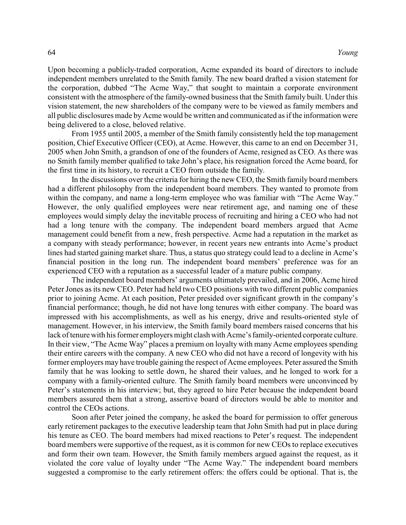Upon becoming a publicly-traded corporation, Acme expanded its board of directors to include independent members unrelated to the Smith family. The new board drafted a vision statement for the corporation, dubbed "The Acme Way," that sought to maintain a corporate environment consistent with the atmosphere of the family-owned business that the Smith family built. Under this vision statement, the new shareholders of the company were to be viewed as family members and all public disclosures made by Acme would be written and communicated as if the information were being delivered to a close, beloved relative.

From 1955 until 2005, a member of the Smith family consistently held the top management position, Chief Executive Officer (CEO), at Acme. However, this came to an end on December 31, 2005 when John Smith, a grandson of one of the founders of Acme, resigned as CEO. As there was no Smith family member qualified to take John's place, his resignation forced the Acme board, for the first time in its history, to recruit a CEO from outside the family.

In the discussions over the criteria for hiring the new CEO, the Smith family board members had a different philosophy from the independent board members. They wanted to promote from within the company, and name a long-term employee who was familiar with "The Acme Way." However, the only qualified employees were near retirement age, and naming one of these employees would simply delay the inevitable process of recruiting and hiring a CEO who had not had a long tenure with the company. The independent board members argued that Acme management could benefit from a new, fresh perspective. Acme had a reputation in the market as a company with steady performance; however, in recent years new entrants into Acme's product lines had started gaining market share. Thus, a status quo strategy could lead to a decline in Acme's financial position in the long run. The independent board members' preference was for an experienced CEO with a reputation as a successful leader of a mature public company.

The independent board members' arguments ultimately prevailed, and in 2006, Acme hired Peter Jones as its new CEO. Peter had held two CEO positions with two different public companies prior to joining Acme. At each position, Peter presided over significant growth in the company's financial performance; though, he did not have long tenures with either company. The board was impressed with his accomplishments, as well as his energy, drive and results-oriented style of management. However, in his interview, the Smith family board members raised concerns that his lack of tenure with his former employers might clash with Acme's family-oriented corporate culture. In their view, "The Acme Way" places a premium on loyalty with many Acme employees spending their entire careers with the company. A new CEO who did not have a record of longevity with his former employers may have trouble gaining the respect of Acme employees. Peter assured the Smith family that he was looking to settle down, he shared their values, and he longed to work for a company with a family-oriented culture. The Smith family board members were unconvinced by Peter's statements in his interview; but, they agreed to hire Peter because the independent board members assured them that a strong, assertive board of directors would be able to monitor and control the CEOs actions.

Soon after Peter joined the company, he asked the board for permission to offer generous early retirement packages to the executive leadership team that John Smith had put in place during his tenure as CEO. The board members had mixed reactions to Peter's request. The independent board members were supportive of the request, as it is common for new CEOs to replace executives and form their own team. However, the Smith family members argued against the request, as it violated the core value of loyalty under "The Acme Way." The independent board members suggested a compromise to the early retirement offers: the offers could be optional. That is, the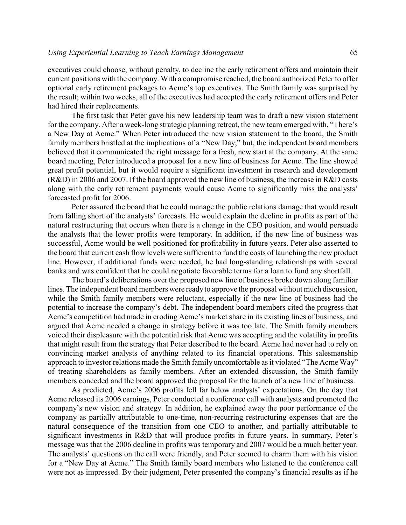executives could choose, without penalty, to decline the early retirement offers and maintain their current positions with the company. With a compromise reached, the board authorized Peter to offer optional early retirement packages to Acme's top executives. The Smith family was surprised by the result; within two weeks, all of the executives had accepted the early retirement offers and Peter had hired their replacements.

The first task that Peter gave his new leadership team was to draft a new vision statement for the company. After a week-long strategic planning retreat, the new team emerged with, "There's a New Day at Acme." When Peter introduced the new vision statement to the board, the Smith family members bristled at the implications of a "New Day;" but, the independent board members believed that it communicated the right message for a fresh, new start at the company. At the same board meeting, Peter introduced a proposal for a new line of business for Acme. The line showed great profit potential, but it would require a significant investment in research and development (R&D) in 2006 and 2007. If the board approved the new line of business, the increase in R&D costs along with the early retirement payments would cause Acme to significantly miss the analysts' forecasted profit for 2006.

Peter assured the board that he could manage the public relations damage that would result from falling short of the analysts' forecasts. He would explain the decline in profits as part of the natural restructuring that occurs when there is a change in the CEO position, and would persuade the analysts that the lower profits were temporary. In addition, if the new line of business was successful, Acme would be well positioned for profitability in future years. Peter also asserted to the board that current cash flow levels were sufficient to fund the costs of launching the new product line. However, if additional funds were needed, he had long-standing relationships with several banks and was confident that he could negotiate favorable terms for a loan to fund any shortfall.

The board's deliberations over the proposed new line of business broke down along familiar lines. The independent board members were readyto approve the proposal without much discussion, while the Smith family members were reluctant, especially if the new line of business had the potential to increase the company's debt. The independent board members cited the progress that Acme's competition had made in eroding Acme's market share in its existing lines of business, and argued that Acme needed a change in strategy before it was too late. The Smith family members voiced their displeasure with the potential risk that Acme was accepting and the volatility in profits that might result from the strategy that Peter described to the board. Acme had never had to rely on convincing market analysts of anything related to its financial operations. This salesmanship approach to investor relations made the Smith family uncomfortable as it violated "The Acme Way" of treating shareholders as family members. After an extended discussion, the Smith family members conceded and the board approved the proposal for the launch of a new line of business.

As predicted, Acme's 2006 profits fell far below analysts' expectations. On the day that Acme released its 2006 earnings, Peter conducted a conference call with analysts and promoted the company's new vision and strategy. In addition, he explained away the poor performance of the company as partially attributable to one-time, non-recurring restructuring expenses that are the natural consequence of the transition from one CEO to another, and partially attributable to significant investments in R&D that will produce profits in future years. In summary, Peter's message was that the 2006 decline in profits was temporary and 2007 would be a much better year. The analysts' questions on the call were friendly, and Peter seemed to charm them with his vision for a "New Day at Acme." The Smith family board members who listened to the conference call were not as impressed. By their judgment, Peter presented the company's financial results as if he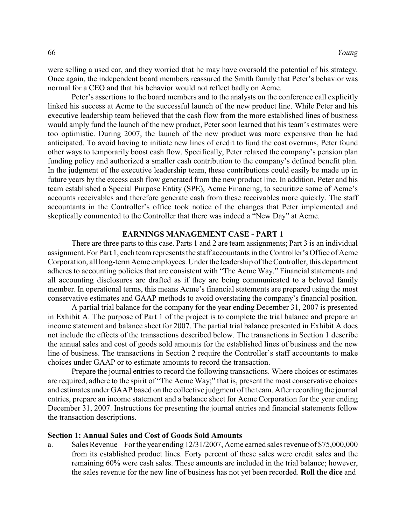were selling a used car, and they worried that he may have oversold the potential of his strategy. Once again, the independent board members reassured the Smith family that Peter's behavior was normal for a CEO and that his behavior would not reflect badly on Acme.

Peter's assertions to the board members and to the analysts on the conference call explicitly linked his success at Acme to the successful launch of the new product line. While Peter and his executive leadership team believed that the cash flow from the more established lines of business would amply fund the launch of the new product, Peter soon learned that his team's estimates were too optimistic. During 2007, the launch of the new product was more expensive than he had anticipated. To avoid having to initiate new lines of credit to fund the cost overruns, Peter found other ways to temporarily boost cash flow. Specifically, Peter relaxed the company's pension plan funding policy and authorized a smaller cash contribution to the company's defined benefit plan. In the judgment of the executive leadership team, these contributions could easily be made up in future years by the excess cash flow generated from the new product line. In addition, Peter and his team established a Special Purpose Entity (SPE), Acme Financing, to securitize some of Acme's accounts receivables and therefore generate cash from these receivables more quickly. The staff accountants in the Controller's office took notice of the changes that Peter implemented and skeptically commented to the Controller that there was indeed a "New Day" at Acme.

## **EARNINGS MANAGEMENT CASE - PART 1**

There are three parts to this case. Parts 1 and 2 are team assignments; Part 3 is an individual assignment. For Part 1, each team represents the staff accountants in the Controller's Office of Acme Corporation, all long-term Acme employees. Underthe leadership of the Controller, this department adheres to accounting policies that are consistent with "The Acme Way." Financial statements and all accounting disclosures are drafted as if they are being communicated to a beloved family member. In operational terms, this means Acme's financial statements are prepared using the most conservative estimates and GAAP methods to avoid overstating the company's financial position.

A partial trial balance for the company for the year ending December 31, 2007 is presented in Exhibit A. The purpose of Part 1 of the project is to complete the trial balance and prepare an income statement and balance sheet for 2007. The partial trial balance presented in Exhibit A does not include the effects of the transactions described below. The transactions in Section 1 describe the annual sales and cost of goods sold amounts for the established lines of business and the new line of business. The transactions in Section 2 require the Controller's staff accountants to make choices under GAAP or to estimate amounts to record the transaction.

Prepare the journal entries to record the following transactions. Where choices or estimates are required, adhere to the spirit of "The Acme Way;" that is, present the most conservative choices and estimates under GAAP based on the collective judgment of the team. Afterrecording the journal entries, prepare an income statement and a balance sheet for Acme Corporation for the year ending December 31, 2007. Instructions for presenting the journal entries and financial statements follow the transaction descriptions.

#### **Section 1: Annual Sales and Cost of Goods Sold Amounts**

a. Sales Revenue – Forthe year ending 12/31/2007, Acme earned sales revenue of \$75,000,000 from its established product lines. Forty percent of these sales were credit sales and the remaining 60% were cash sales. These amounts are included in the trial balance; however, the sales revenue for the new line of business has not yet been recorded. **Roll the dice** and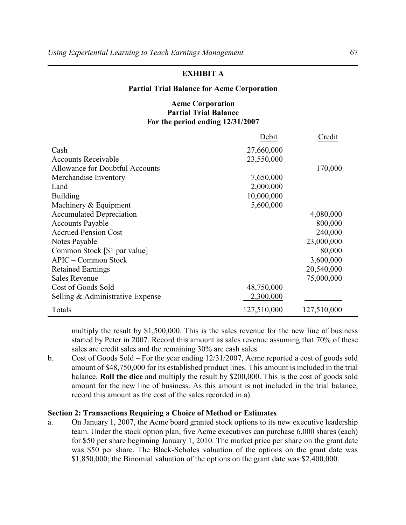# **EXHIBIT A**

#### **Partial Trial Balance for Acme Corporation**

# **Acme Corporation Partial Trial Balance For the period ending 12/31/2007**

|                                  | Debit       | Credit      |
|----------------------------------|-------------|-------------|
| Cash                             | 27,660,000  |             |
| Accounts Receivable              | 23,550,000  |             |
| Allowance for Doubtful Accounts  |             | 170,000     |
| Merchandise Inventory            | 7,650,000   |             |
| Land                             | 2,000,000   |             |
| <b>Building</b>                  | 10,000,000  |             |
| Machinery $&$ Equipment          | 5,600,000   |             |
| <b>Accumulated Depreciation</b>  |             | 4,080,000   |
| <b>Accounts Payable</b>          |             | 800,000     |
| <b>Accrued Pension Cost</b>      |             | 240,000     |
| Notes Payable                    |             | 23,000,000  |
| Common Stock [\$1 par value]     |             | 80,000      |
| $APIC$ – Common Stock            |             | 3,600,000   |
| <b>Retained Earnings</b>         |             | 20,540,000  |
| <b>Sales Revenue</b>             |             | 75,000,000  |
| Cost of Goods Sold               | 48,750,000  |             |
| Selling & Administrative Expense | 2,300,000   |             |
| Totals                           | 127,510,000 | 127,510,000 |

multiply the result by \$1,500,000. This is the sales revenue for the new line of business started by Peter in 2007. Record this amount as sales revenue assuming that 70% of these sales are credit sales and the remaining 30% are cash sales.

b. Cost of Goods Sold – For the year ending 12/31/2007, Acme reported a cost of goods sold amount of \$48,750,000 for its established product lines. This amount is included in the trial balance. **Roll the dice** and multiply the result by \$200,000. This is the cost of goods sold amount for the new line of business. As this amount is not included in the trial balance, record this amount as the cost of the sales recorded in a).

## **Section 2: Transactions Requiring a Choice of Method or Estimates**

a. On January 1, 2007, the Acme board granted stock options to its new executive leadership team. Under the stock option plan, five Acme executives can purchase 6,000 shares (each) for \$50 per share beginning January 1, 2010. The market price per share on the grant date was \$50 per share. The Black-Scholes valuation of the options on the grant date was \$1,850,000; the Binomial valuation of the options on the grant date was \$2,400,000.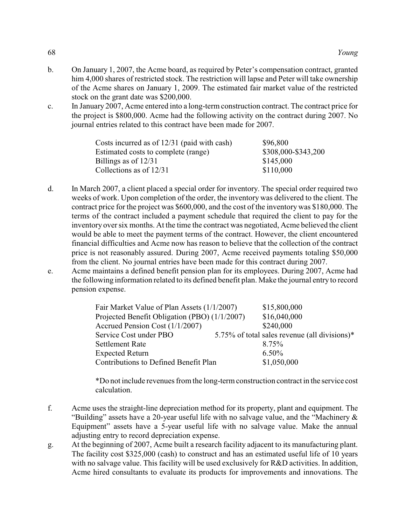- b. On January 1, 2007, the Acme board, as required by Peter's compensation contract, granted him 4,000 shares of restricted stock. The restriction will lapse and Peter will take ownership of the Acme shares on January 1, 2009. The estimated fair market value of the restricted stock on the grant date was \$200,000.
- c. In January 2007, Acme entered into a long-term construction contract. The contract price for the project is \$800,000. Acme had the following activity on the contract during 2007. No journal entries related to this contract have been made for 2007.

| Costs incurred as of $12/31$ (paid with cash) | \$96,800            |
|-----------------------------------------------|---------------------|
| Estimated costs to complete (range)           | \$308,000-\$343,200 |
| Billings as of $12/31$                        | \$145,000           |
| Collections as of $12/31$                     | \$110,000           |

- d. In March 2007, a client placed a special order for inventory. The special order required two weeks of work. Upon completion of the order, the inventory was delivered to the client. The contract price for the project was \$600,000, and the cost of the inventory was \$180,000. The terms of the contract included a payment schedule that required the client to pay for the inventory over six months. At the time the contract was negotiated, Acme believed the client would be able to meet the payment terms of the contract. However, the client encountered financial difficulties and Acme now has reason to believe that the collection of the contract price is not reasonably assured. During 2007, Acme received payments totaling \$50,000 from the client. No journal entries have been made for this contract during 2007.
- e. Acme maintains a defined benefit pension plan for its employees. During 2007, Acme had the following information related to its defined benefit plan. Make the journal entry to record pension expense.

| Fair Market Value of Plan Assets (1/1/2007)   | \$15,800,000                                  |
|-----------------------------------------------|-----------------------------------------------|
| Projected Benefit Obligation (PBO) (1/1/2007) | \$16,040,000                                  |
| Accrued Pension Cost (1/1/2007)               | \$240,000                                     |
| Service Cost under PBO                        | 5.75% of total sales revenue (all divisions)* |
| <b>Settlement Rate</b>                        | 8.75%                                         |
| <b>Expected Return</b>                        | $6.50\%$                                      |
| Contributions to Defined Benefit Plan         | \$1,050,000                                   |

\*Do not include revenues from the long-term construction contract in the service cost calculation.

- f. Acme uses the straight-line depreciation method for its property, plant and equipment. The "Building" assets have a 20-year useful life with no salvage value, and the "Machinery  $\&$ Equipment" assets have a 5-year useful life with no salvage value. Make the annual adjusting entry to record depreciation expense.
- g. At the beginning of 2007, Acme built a research facility adjacent to its manufacturing plant. The facility cost \$325,000 (cash) to construct and has an estimated useful life of 10 years with no salvage value. This facility will be used exclusively for R&D activities. In addition, Acme hired consultants to evaluate its products for improvements and innovations. The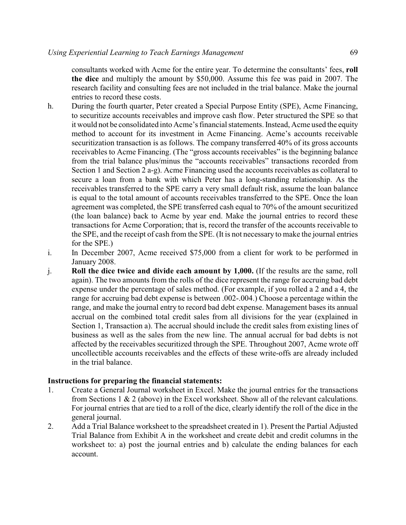consultants worked with Acme for the entire year. To determine the consultants' fees, **roll the dice** and multiply the amount by \$50,000. Assume this fee was paid in 2007. The research facility and consulting fees are not included in the trial balance. Make the journal entries to record these costs.

- h. During the fourth quarter, Peter created a Special Purpose Entity (SPE), Acme Financing, to securitize accounts receivables and improve cash flow. Peter structured the SPE so that it would not be consolidated into Acme's financial statements. Instead, Acme used the equity method to account for its investment in Acme Financing. Acme's accounts receivable securitization transaction is as follows. The company transferred 40% of its gross accounts receivables to Acme Financing. (The "gross accounts receivables" is the beginning balance from the trial balance plus/minus the "accounts receivables" transactions recorded from Section 1 and Section 2 a-g). Acme Financing used the accounts receivables as collateral to secure a loan from a bank with which Peter has a long-standing relationship. As the receivables transferred to the SPE carry a very small default risk, assume the loan balance is equal to the total amount of accounts receivables transferred to the SPE. Once the loan agreement was completed, the SPE transferred cash equal to 70% of the amount securitized (the loan balance) back to Acme by year end. Make the journal entries to record these transactions for Acme Corporation; that is, record the transfer of the accounts receivable to the SPE, and the receipt of cash from the SPE. (It is not necessary to make the journal entries for the SPE.)
- i. In December 2007, Acme received \$75,000 from a client for work to be performed in January 2008.
- j. **Roll the dice twice and divide each amount by 1,000.** (If the results are the same, roll again). The two amounts from the rolls of the dice represent the range for accruing bad debt expense under the percentage of sales method. (For example, if you rolled a 2 and a 4, the range for accruing bad debt expense is between .002-.004.) Choose a percentage within the range, and make the journal entry to record bad debt expense. Management bases its annual accrual on the combined total credit sales from all divisions for the year (explained in Section 1, Transaction a). The accrual should include the credit sales from existing lines of business as well as the sales from the new line. The annual accrual for bad debts is not affected by the receivables securitized through the SPE. Throughout 2007, Acme wrote off uncollectible accounts receivables and the effects of these write-offs are already included in the trial balance.

### **Instructions for preparing the financial statements:**

- 1. Create a General Journal worksheet in Excel. Make the journal entries for the transactions from Sections 1 & 2 (above) in the Excel worksheet. Show all of the relevant calculations. For journal entries that are tied to a roll of the dice, clearly identify the roll of the dice in the general journal.
- 2. Add a Trial Balance worksheet to the spreadsheet created in 1). Present the Partial Adjusted Trial Balance from Exhibit A in the worksheet and create debit and credit columns in the worksheet to: a) post the journal entries and b) calculate the ending balances for each account.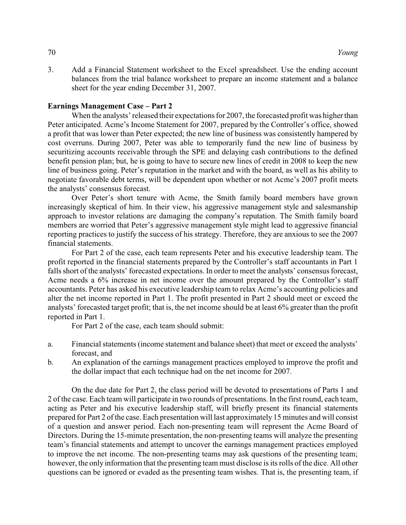3. Add a Financial Statement worksheet to the Excel spreadsheet. Use the ending account balances from the trial balance worksheet to prepare an income statement and a balance sheet for the year ending December 31, 2007.

### **Earnings Management Case – Part 2**

When the analysts' released their expectations for 2007, the forecasted profit was higher than Peter anticipated. Acme's Income Statement for 2007, prepared by the Controller's office, showed a profit that was lower than Peter expected; the new line of business was consistently hampered by cost overruns. During 2007, Peter was able to temporarily fund the new line of business by securitizing accounts receivable through the SPE and delaying cash contributions to the defined benefit pension plan; but, he is going to have to secure new lines of credit in 2008 to keep the new line of business going. Peter's reputation in the market and with the board, as well as his ability to negotiate favorable debt terms, will be dependent upon whether or not Acme's 2007 profit meets the analysts' consensus forecast.

Over Peter's short tenure with Acme, the Smith family board members have grown increasingly skeptical of him. In their view, his aggressive management style and salesmanship approach to investor relations are damaging the company's reputation. The Smith family board members are worried that Peter's aggressive management style might lead to aggressive financial reporting practices to justify the success of his strategy. Therefore, they are anxious to see the 2007 financial statements.

For Part 2 of the case, each team represents Peter and his executive leadership team. The profit reported in the financial statements prepared by the Controller's staff accountants in Part 1 falls short of the analysts' forecasted expectations. In order to meet the analysts' consensus forecast, Acme needs a 6% increase in net income over the amount prepared by the Controller's staff accountants. Peter has asked his executive leadership team to relax Acme's accounting policies and alter the net income reported in Part 1. The profit presented in Part 2 should meet or exceed the analysts' forecasted target profit; that is, the net income should be at least 6% greater than the profit reported in Part 1.

For Part 2 of the case, each team should submit:

- a. Financial statements (income statement and balance sheet) that meet or exceed the analysts' forecast, and
- b. An explanation of the earnings management practices employed to improve the profit and the dollar impact that each technique had on the net income for 2007.

On the due date for Part 2, the class period will be devoted to presentations of Parts 1 and 2 of the case. Each team will participate in two rounds of presentations. In the first round, each team, acting as Peter and his executive leadership staff, will briefly present its financial statements prepared for Part 2 of the case. Each presentation will last approximately 15 minutes and will consist of a question and answer period. Each non-presenting team will represent the Acme Board of Directors. During the 15-minute presentation, the non-presenting teams will analyze the presenting team's financial statements and attempt to uncover the earnings management practices employed to improve the net income. The non-presenting teams may ask questions of the presenting team; however, the only information that the presenting team must disclose is its rolls of the dice. All other questions can be ignored or evaded as the presenting team wishes. That is, the presenting team, if